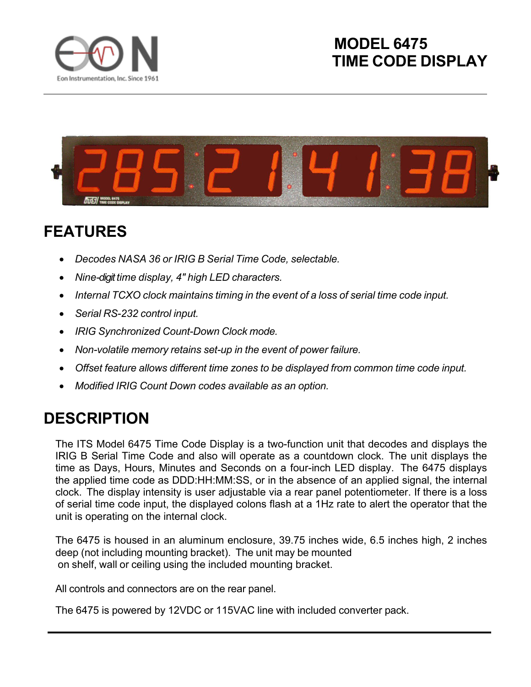



## **FEATURES**

- *Decodes NASA 36 or IRIG B Serial Time Code, selectable.*
- *Nine-digit time display, 4" high LED characters.*
- *Internal TCXO clock maintains timing in the event of a loss of serial time code input.*
- *Serial RS-232 control input.*
- *IRIG Synchronized Count-Down Clock mode.*
- *Non-volatile memory retains set-up in the event of power failure.*
- *Offset feature allows different time zones to be displayed from common time code input.*
- *Modified IRIG Count Down codes available as an option.*

## **DESCRIPTION**

The ITS Model 6475 Time Code Display is a two-function unit that decodes and displays the IRIG B Serial Time Code and also will operate as a countdown clock. The unit displays the time as Days, Hours, Minutes and Seconds on a four-inch LED display. The 6475 displays the applied time code as DDD:HH:MM:SS, or in the absence of an applied signal, the internal clock. The display intensity is user adjustable via a rear panel potentiometer. If there is a loss of serial time code input, the displayed colons flash at a 1Hz rate to alert the operator that the unit is operating on the internal clock.

The 6475 is housed in an aluminum enclosure, 39.75 inches wide, 6.5 inches high, 2 inches deep (not including mounting bracket). The unit may be mounted on shelf, wall or ceiling using the included mounting bracket.

All controls and connectors are on the rear panel.

The 6475 is powered by 12VDC or 115VAC line with included converter pack.